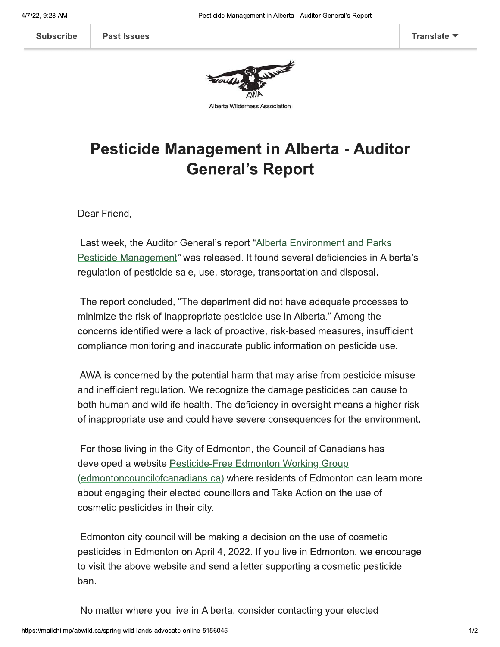

Alberta Wilderness Association

## **Pesticide Management in Alberta - Auditor General's Report**

Dear Friend,

Last week, the Auditor General's report "Alberta Environment and Parks Pesticide Management" was released. It found several deficiencies in Alberta's regulation of pesticide sale, use, storage, transportation and disposal.

The report concluded, "The department did not have adequate processes to minimize the risk of inappropriate pesticide use in Alberta." Among the concerns identified were a lack of proactive, risk-based measures, insufficient compliance monitoring and inaccurate public information on pesticide use.

AWA is concerned by the potential harm that may arise from pesticide misuse and inefficient regulation. We recognize the damage pesticides can cause to both human and wildlife health. The deficiency in oversight means a higher risk of inappropriate use and could have severe consequences for the environment.

For those living in the City of Edmonton, the Council of Canadians has developed a website Pesticide-Free Edmonton Working Group (edmontoncouncilofcanadians.ca) where residents of Edmonton can learn more about engaging their elected councillors and Take Action on the use of cosmetic pesticides in their city.

Edmonton city council will be making a decision on the use of cosmetic pesticides in Edmonton on April 4, 2022. If you live in Edmonton, we encourage to visit the above website and send a letter supporting a cosmetic pesticide ban.

No matter where you live in Alberta, consider contacting your elected